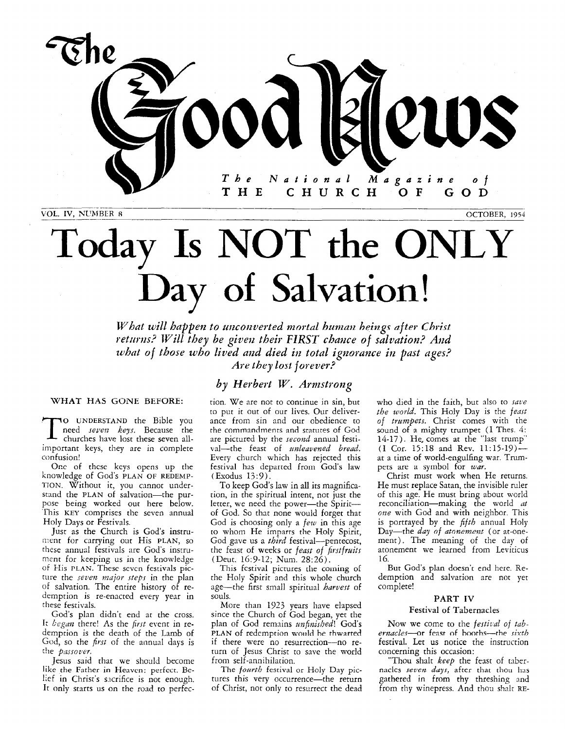

**NL'AfRER** *8* OCTOBER, 1954

# Today **Is** NOT **the** ONLY Day **of Salvation!**

*What will happen to unconverted mortal human heings after Christ returns? Will they be given their FIRST chance of salvation? And tohat of those who lived and died in total ignorance in past ages? Are they lo~l jorever?* 

# *by Herbert W. Arnzstrong*

# **WHAT HAS GONE BEFORE:**

To UNDERSTAND the Bible you need *seven keys.* Because the churches have lost these seven all-<br>important leve these seven allimportant keys, they are in complete confusion!

One of these keys opens up the knowledge of God's PLAN **OF** REDEMP-TION. Without it, you cannot understand the PLAN of salvation-the purpose being worked out here below. This KEY comprises the seven annual Holy Days or Festivals.

Just as the Church is God's instrument for carrying out His PLAN, so these annual festivals are God's inscrument for keeping us in the knowledge of His PLAN. These sevcn festivals picture the *seven major steps* in the plan of salvation. The entire history of redemption is re-enacted every year in these fesrivals.

God's plan didn't end at the cross. It *began* there! As the *first* event in redemption is the death of the Lamb of God, so the *first* of the annual days is the *passover*.

Jesus said that we should become **like** the Father in Heaven: perfect. Belief in Chrisr's sicrifice is not enough. It only starts us on the road to perfection. We are not to continue in sin, but to put it out of our lives. Our deliverance from sin and our obedience to the commandments and statutes of God are pictured by the *second* annual festival-the feast of *unleavened bread*. Every church which has rejected this festival has departed from God's law (Esodus 13:9).

To keep God's law in all its magnification, in the spiritual intent, not just the letter, we need the power-the Spiritof God. So that none would forget that God is choosing only a *few* in this age to whom He imparts the Holy Spirit, God gave us a *third* festival-pentecost, the feast of weeks or *feast* of *fiutfraits*  (Deut. 16:9-12; Num. 28:26).

This festival pictures the coming of the Holy Spirit and this whole church age-the first small spiritual *harvest* of souls.

More than 1923 years have elapsed since the Church of God began, yet the plan of God remains *unfinished!* God's PLAN of redemption would he thwarted if there were no resurrection-no return of Jesus Christ to save the world from self-annihilation.

The *foartb* festival or Holy Day pictures this very occurrence-the return of Christ, not only to resurrect the dead who died in the faith, but also to *saue the world.* This Holy Day is the *fenst*  of *trzmpets.* Christ comes with the sound of *a* mighty trumpet **(I** Thes. *4:*  14-17). He, comes at the "last trump" **(I** Cor. 15:18 and Rev. 11:15-19) at a time of world-engulfing war. Trumpets are a symbol for *war*.

Christ must work when He returns. He must replace Satan, the invisible ruler of this age. He must bring about world reconciliation-making the world *nt*  one with God and with neighbor. This is portrayed by the *fifth* annual Holy Day-the *day of atonement* (or at-onement). The meaning of the day of atonement we learned from Leviticus 16.

But God's plan doesn't end here. Redemption and salvation are not yet complete!

# **PART IV**

## Festival of Tabernacles

Now we come to the *festival* of *tabernacles*-or feast of booths-the sixth festival. Let us notice the instruction concerning this occasion:

"Thou shalt *keep* the feast of tnbernacles *seven days*, after that thou has gathered in from thy threshing and from thy winepress. And thou shalt RE-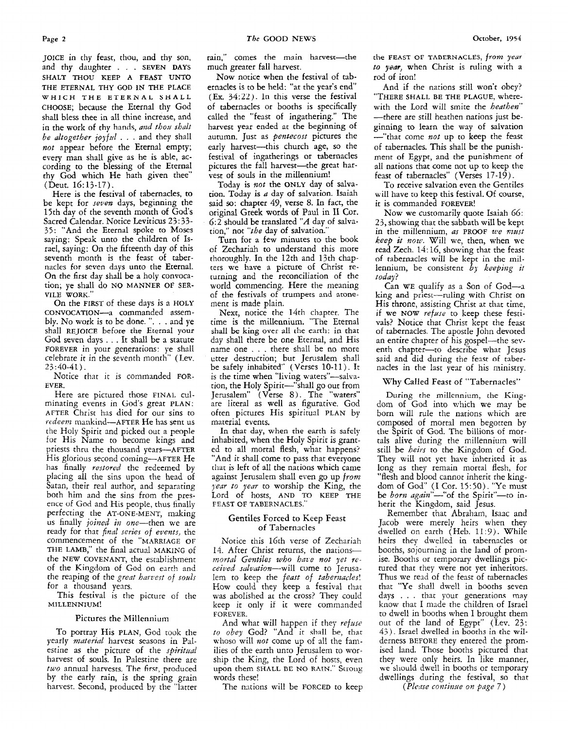JOICE in thy feast, thou, and thy son, and thy daughter . . . SEVEN DAYS SHALT THOU KEEP **A** FEAST UNTO THE ETERNAL THY **GOD** IN **THE** PLACE **WHICH THE ETERNAL** SHALL CHOOSE; because the Eternal thy God shall bless thee in all thine increase, and in the work of thy hands, and thou shalt be altogether *joyfnl* . . . and they shall *not* appear before the Eternal empty; every man shall give as he is able, according to the blessing of the Eternal thy *God* which He hath given thee" (Deut. 16:13-17).

Here is the festival of tabernacles, to be kept for **seven** days, beginning the 15th day of the seventh month of God's Sacred Calendar. Notice Leviticus 23: 33- 35: "And the Eternal spoke to Moses saying: Speak unto the children of Israel, saying: On the fifteenth day of this seventh month is the feast of tabernacles for seven days unto the Eternal. On the first day shall be a holy convocation; ye shall do NO MANNER **OF** SER-VILE WORK."

On the FIRST of these days is a HOLY CONVOCATION-a commanded assembly. No work is to be done. ". . . and ye shall REJOICE before the Eternal your God seven days . . . It shall be a statute FOREVER in your generations: ye shall celebrate it in the seventh month" (Lev. *23:40-41).* 

Notice that it is commanded FOR-EVER.

Here are pictured those FINAL culminating events in God's great PLAN: AFTER Christ has died for our sins to *redeem* mankind-AFTER He has sent us the Holy Spirit and picked out *a* people for His Name to become kings and priests thru the thousand years-AFTER His glorious second coming—AFTER He has finally *restored* the redeemed by placing all the sins upon the head of Satan, their real author, and separating both him and the sins from the presence of God and His people, thus finally perfecting the AT-ONE-MENT, making us finally *joined in one*-then we are ready for that *final series of events*, the commencement of the "MARRIAGE OF THE LAMB," the final actual MAKING of the NEW COVENANT, the estabiishment of the Kingdom of God on earth and the reaping of the great *hawest of sods*  for a thousand years.

This festival is the picture of the MILLENNIUM!

# Pictures the Millennium

To portray His PLAN, God took the yearly material harvest seasons in Palestine as the picture of the *spiritaal*  harvest of souls. In Palestine there are *two* annual harvests. The **first,** produced by the early rain, is the spring grain harvest. Second, produced by the "latter rain," comes the main harvest-the much greater fall harvest.

Now notice when the festival of tabernacles is to be held: "at the year's end'  $(Ex, 34:22)$ . In this verse the festival of tabernacles or booths is specifically called the "feast of ingathering." The harvest year ended at the beginning of autumn. Just as *pentecost* pictures the early harvest-this church age, so the festival of ingatherings or tabernacles pictures the fall harvest-the great harvest of souls in the millennium!

Today is *not* the ONLY day of salvation. Today is *a* day of salvation. Isaiah said *so:* chapter 49, verse *8.* In fact, the original Greek words of Paul in **I1** Cot. 6:2 should be translated *"A* day of salvation," not "the day of salvation."

Turn for a few minutes to the book of Zechariah to understand this more thoroughly. In the 12th and 13th chapters we have a picture of Christ returning and the reconciliation of the world commencing. Here the meaning of the festivals of trumpets and **atone**ment is made plain.

Next, notice the 14th chapter. The time is the millennium. "The Eternal shall **be** king over all the earth: in that day shall there be one Eternal, and His name one . . . there shall be no more utter destruction; but Jerusalem shall be safely inhabited" (Verses 10-11). It is the time when "living waters"—salvation, the Holy Spirit--"shall go out from Jerusalem" (Verse 8). The "waters" are literal as well as figurative. God often pictures His spiritual PLAN by material events.

**In** that day, when the earth is safely inhabited, when the Holy Spirit is granted to all mortal flesh, what happens? "And it shall come to pass that everyone that is left of all the nations which came against Jerusalem shall even go up *from jear* to year to worship the King, the Lord of hosts, **AND** TO KEEP THE FEAST OF TABERNACLES."

## **Gentiles** Forced to Keep Feast of Tabernacles

Notice this 16th verse of Zechariah 14. After Christ returns, the nations*mortal* Gentiles *who* hate not yet *re*ceived salvation--will come to Jerusalem to keep the feast of tabernacles! How could they keep a festival that was abolished at the cross? They could keep it only if it were commanded FOREVER.

And what will happen if they *refwe to obey* God? "And it shall be, that whoso will not come up of all the families of the earth unto Jerusalem to worship the King, the Lord of hosts, even upon them SHALL **BE** NO **RAIN."** Stiorig words these!

The nations will be FORCED to keep

the **FEAST OF TABERNACLES,** *from* **yeur**  *to yem,* when Christ is ruling with a rod of iron!

And if the nations still won't obey? "THERE SHALL BE THE PLAGUE, wherewith the Lord will smite the heathen" -there are still heathen nations just beginning to learn the way of salvation -"that come *not* up to keep the feast of tabernacles. This shall be the punishment of Egypt, and the punishment of all nations that come not up to keep the feast of tabernacles" (Verses 17-19).

To receive salvation even the Gentiles will have to keep this festival. Of course, ic is commanded FOREVER!

Now we customarily quote Isaiah 66: 23, showing that the sabbath will be kept in the millennium, as PROOF we must keep it *nou.* Will we, then, when we read Zech. 14: 16, showing that the feast of tabernacles will be kept in the millennium, be consistent *bj.* keeping *it*  today?

Can WE qualify as a Son of  $God_{-a}$ king and priest-ruling with Christ on His throne, assisting Christ at that time, if we **NOW** *refme* to keep these festivals? Notice that Christ kept the feast of tabernacles. The apostle John devoted an entire chapter of his gospel-the seventh chapter-to describe what Jesus said and did during the feast of tabernacles in the last year of his ministry.

# 'Why Called Feast of "Tabernacles"

During the millennium, the Kingdom of God into which we may be born will rule the nations which are composed of mortal men begotten by the Spirit of God. The billions of mortals alive during the millennium will still be *heirs* to the Kingdom of God. They will not yet have inherited it as long as they remain mortal flesh, for "flesh and blood cannot inherit rhe kingdom of God' (I Cor. 15: *50).* "Ye must be born again"-"of the Spirit"-to inherit the Kingdom, said Jesus.

Remember that Abraham, Isaac and Jacob were merely heirs when they dwelled on earth (Heb. 11:9). While heirs they dwelled in tabernacles or booths, sojourning in the land of promise. Booths or temporary dwellings pictured that they were not yet inheritors. Thus we read of the feast of tabernacles that "Ye shall dwell in booths seven days . . . that your generations may know that I made the children of Israel to dwell in booths when I brought them out of the land of Egypt" (Lev. 23: *43).* Israel dwelled in booths in the wilderness BEFORE they entered the promised land. Those booths pictured that they were only heirs. In like manner, **we** should dwell in booths or temporary dwellings during the festival, so that

*(Pleme* continue *on pqe* 7)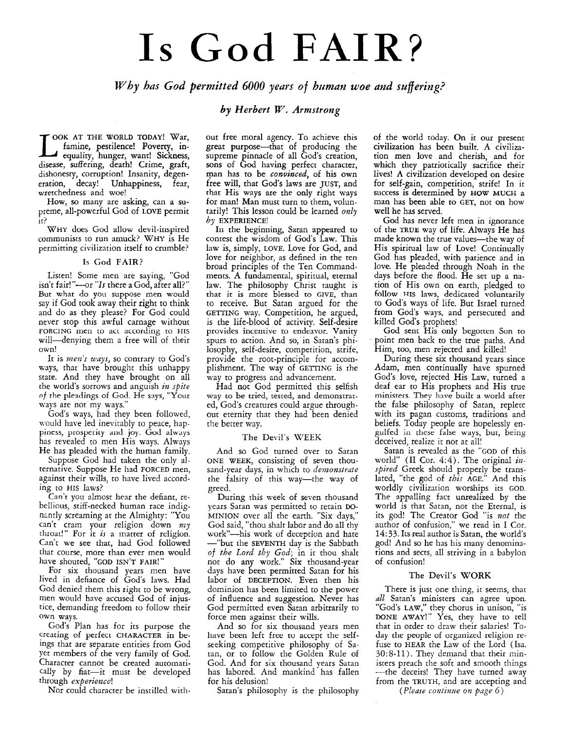# Is God FAIR?

*Why has God permitted 6000 years* **of** *himan woe and suffering?* 

# *by Herbert W. Armstrong*

OOK AT THE WORLD TODAY! War, famine, pestilence! Poverty, inequality, hunger, want! Sickness, disease, suffering, death! Crime, graft, dishonesty, corruption! Insanity, degeneration, decay! Unhappiness, fear, wretchedness and woe!

How, *so* many are asking, can a supreme, all-powerful God of **LOVE** permit it?

WHY does God allow devil-inspired communists to run amuck? WHY is He permitting civilization itself to crumble?

# **Is** God FAIR?

Listen! Some men are saying, "God isn't fair!"-or "Is there a God, after all?" But what do you suppose men would say if God took away their right to think and do as they please? For God could never stop this awful carnage without FORCING men to act according to HIS will-denying them a free will of their own!

It is *men's ways*, so contrary to God's ways, that have brought this unhappy state. And they have brought on all rhe world's sorrows and anguish *in spite*  of the pleadings of God. He says, "Your ways are not my ways."

God's ways, had they been followed, would have led inevitably to peace, happiness, prosperity and joy. God always has revealed to men His ways. Always He has pleaded with the human family.

Suppose God had taken the only alternative. Suppose He had **FORCED** men, against their wills, to have lived according to **HIS** laws?

**Can't** you almost hear the defiant, rebellious, stiff-necked human race indignantly screaming at the Almighty: "You can't cram your religion down *nzy*  throat!" For it *is* a niatrer of religion. Can't we see that, had God followed that course, more than ever men would have shouted, **"GOD ISN'T FAIR!"** 

For six thousand years men have lived in defiance of God's laws. Had God denied them this right to be wrong, men would have accused God of injustice, demanding freedom to follow their own ways.

God's Plan has for its purpose the creating of perfect **CHARACTER** in beings that are separate entities from God yet members of the very family of God. Character cannot be created automatically by fiat-it must be developed through *experieace!* 

Nor could character be instilled with-

out free moral agency. To achieve this great purpose-that of producing the supreme pinnacle of all God's creation, sons of God having perfect character, man has to be *convinced,* of his own free will, that **God's** laws are **JUST,** and that His ways are the only right ways for man! Man must turn to them, voluntarily! This lesson could be learned *only by* **EXPERIENCE!** 

In the beginning, Satan appared to contest the wisdom of God's Law. This law is, simply, **LOVE.** Love for God, and love for neighbor, as defined in the ten broad principles of the Ten Commandments. A fundamental, spiritual, eternal law. The philosophy Christ taught is that it **is** more blessed to **GIVE,** than to receive. But Satan argued for the **GETTING** way. Competition, he argued, is the life-blood of activity. Self-desire provides incentive *to* endeavor. Vanity spurs to action. And so, in Satan's philosophy, self-desire, competition, strife, provide the root-principle for accomplishment. The way of **GETTING** is the way to progress and advancement.

Had not God permitted this selfish way to be tried, tested, and demonstrared, God's creatures could argue throughout eternity that they had been denied the better way.

# The Devil's WEEK

And so God turned over to Satan **ONE WEEK,** consisting of seven thousand-year days, in which to *demonstrate*  the falsity of this way-the way of greed.

During this week of seven thousand years Satan was permitted to retain DO-MINION over all the earth. "Six days," God said, "thou shalt labor and do all thy work"-his work of deception and hate --"but the **SEVENTH** day is the Sabbath of *the Lord thy God;* in it thou shalt fiot do any work." Six thousand-year days have been permitted Satan for his labor of **DECEPTION.** Even then his dominion has been limited to the power of influence and suggestion. Never has God permitted even Satan arbitrarily to force men against their wills.

And so for six thousand years men have been left free to accept the selfseeking competitive philosophy of Satan, or to follow the Golden Rule of God. And for six thousand years Satan has labored. And mankind has fallen for his delusion!

Satan's philosophy is the philosophy

of the world today. On it our present civilization has been built. A civilization men love and cherish, and for which they patriotically sacrifice their lives! **A** civilization developed on desire for self-gain, competition, strife! In it success is determined by **HOW MUCH a**  man has been able to **GET,** not on how well he has served.

God has never left men in ignorance of the **TRUE** way of life. Always He has made known the true values-the way of His spiritual law of Love! Continually God has pleaded, with patience and in love. He pleaded through Noah in the days before the flood. He set up a nation of His own on earth, pledged to follow HIS laws, dedicated voluntarily to God's ways of life. But Israel turned from God's ways, and persecuted and killed God's prophets!

God sent His only begotten Son to point men back to the true paths. And Him, too, men rejected and killed!

During these six thousand years since Adam, men continually have spurned God's love, rejected His Law, turned a deaf ear to His prophets and His true ministers. They have built a world after the false philosophy of Satan, replete with its pagan customs, traditions and beliefs. Today people are hopelessly engulfed in these false ways, but, being deceived, realize it not at all!

Satan is revealed as the **"GOD** of this world" (II Cor. 4:4). The original in*spired* Greek should properly be translated, "the god of *this* **AGE."** And this worldly civilization worships its **GOD.**  The appalling fact unrealized by the world is that Satan, not the Eternal, is it5 god! The Creator God "is *not* the author of confusion," we read in I Cor. *14:* 33. Its real author is Satan, the world's god! And so he has his many denominations and sects. all striving in a babylon of confusion!

# The Devil's WORK

There is just one thing, it seems, that *a21* Satan's ministers can agree upon. "God's **LAW,"** they chorus in unison, "is **DONE AWAY!"** Yes, they have to tell that in order to draw their salaries! Today the people of organized religion refuse to **HEAR** the Law of the Lord (Isa. 30:8-11). They demand that their ministers preach the soft and smooth things -the deceits! They have turned away from the **TRUTH,** and are accepting and

*(Please continue on page 6)*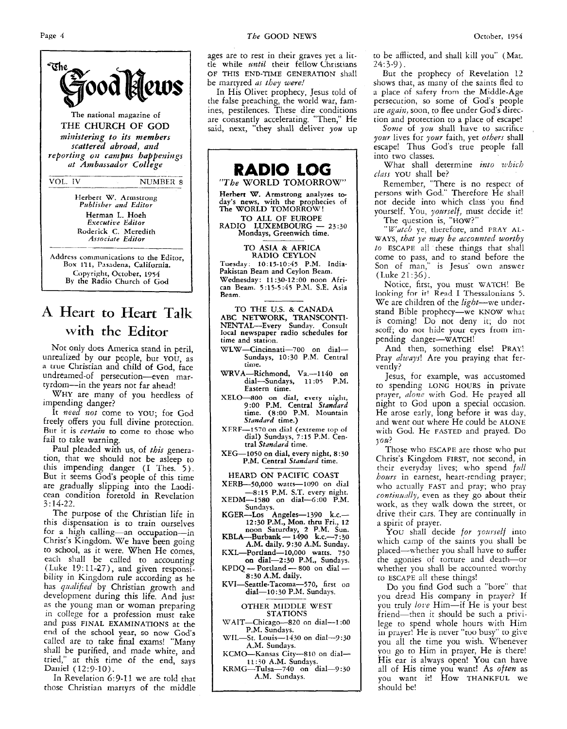Jood Klews **The national magazine of THE CHURCH OF GOD**   $ministering$  to its members *scattered abroad, and reporting on campus happenings ut Ambassador College*  VOL. IV NUMBER 8 **Herbert W. Armstrong**  *Pztblisher and Editor*  **Herman** L. **Hoeh**  *Executive Editor* 

Address communications to the Editor, **Box 111, Pasadena, Calilurnia. Copyright, October, 1954 By rhe Radio Church** of God

**Roderick C. Meredith**  *Associate Edifor* 

\_\_\_\_

# **A Heart to Heart Talk with the Editor**

Not only does America stand in peril, unrealized by our people, but YOU, as **a tiue** Christian and child **of** God, face undreamed-of persecution-even martyrdom-in the years not far ahead!

WHY are many of you heedless of impending danger?

It *need not* come to YOU; for God freely offers you full divine protection. But it is *certain* to come to those who fail to take warning.

Paul pleaded with us, of *this* generation, that we should not be asleep to this impending danger (I Thes. *5).*  But it seems God's people of this time are gradually slipping into the Laodicean condition foretold in Revelation 3: *14-22.* 

The purpose of the Christian life in this dispensation is to train ourselves for a high calling-an occupation-in Christ's Kingdom. We have been going to school, as it were. When He comes, each shall be called to accounting (Luke 19: 11-27), and given responsibility in Kingdom rule according as he has *qualified* by Christian growth and development during this life. And just as the young man or woman preparing in college for a profession must take and pass FINAL EXAMINATIONS at the end of the school year, *so* **now** Gods called are to take final exams! "Many shall be purified, and made white, and tried," at this time of the end, says Daniel (12:9-10).

In Revelation 6:9-11 we are told that those Christian martyrs of the middle

ages are to rest in their graves yet a little while *mtzl* their fellow Christians be martyred *as they were!* **OF** THIS END-TIME GENERATION Shall

In His Olivet prophecy, Jesus told of the false preaching, the world war, famines, pestilences. These dire conditions are constantly accelerating. "Then," He said, next, "they shall deliver  $you$  up



## **OTHER MIDDLE WEST STATIONS**

**\VAIT-Chicag+820 on dial-1 :OO P.M. Sundays.** 

**WIL-St. Louis-1430 on dial-y:30 AM. Sundays.** 

KCMO-Kansas City-810 on dial-

**KRMG-Tulsa-740 on dial-9 :30**  1l:iO **A.M. Sundays. A.M. Sundays.** 

to be afflicted, and shall kill you" (Mat.  $24:3-9$ ).

But the prophecy of Revelation 12 shows that, as many of the saints fled to a place of safety from the Middle-Age persecution, so some of God's people are *again*, soon, to flee under God's direction and protection to a place of escape!

*Some* of *you* shall have to sacrifice *your* lives for *yoz~r* faith, yet *others* shall escape! Thus God's true people fall into two classes.

What shall determine *into which clnss* YOU shall be?

Remember, "There is no respect of persons wirh God." Therefore He shall not decide into which class'you find yourself. You, *yourself,* must decide it!

The question **is,** "HOW?"

*"Wutch* ye, therefore, and **FRAY AL-WAYS,** *that* ye *may be accozmted worthy to* ESCAPE all these things that shall come to pass, and to stand before the Son of man," is Jesus' own answer (Luke 21:36).

Notice, first, you must **WATCH!** Be looking for irl Read I Thessalonians *5.*  We are children of the *light-we* understand Bible prophecy-we KNOW what is coming! Do not deny it; do not scoff; do not hide your eyes from impending danger-wATCH!

And then, something else! PRAY! Pray *always!* Are you praying that fervently?

Jesus, for example, was accustomed to spending LONG HOURS in private prayer, *nlnne* with God. He prayed **all**  night to God upon a special occasion. He arose early, long before it was day, and went out where He could be **ALONE**  with God. He **FAiSTED** and prayed. Do  $\sqrt{uu}$ ?

Those who ESCAPE are those who put Christ's Kingdom FIRST, not second, in *bows* in earnest, heart-rending prayer; who actually FAST and pray; who pray *continually, even as they go about their* work, as they walk down the street, or drive their cars. They are continually in a spirit of prayer. their everyday lives; who spend *full* 

You shall decide for yourself into which camp of the saints you shall be placed-whether you shall have to suffer the agonies of torture and death-or whether you shall be accounted worthy to ESCAPE all these things!

Do you find God such a "bore" that you dread His company in prayer? If you truly *love* Him—if He is your best friend-then it should be such a privilege to spend whole hours with Him in prayer! He is never "too busy" to gire you all the time you wish. Whenever you go to Him in prayer, He is there! His ear is always open! You can have all of His time you want! As *often* as you want it! How **THANKFUL** we should be!

°The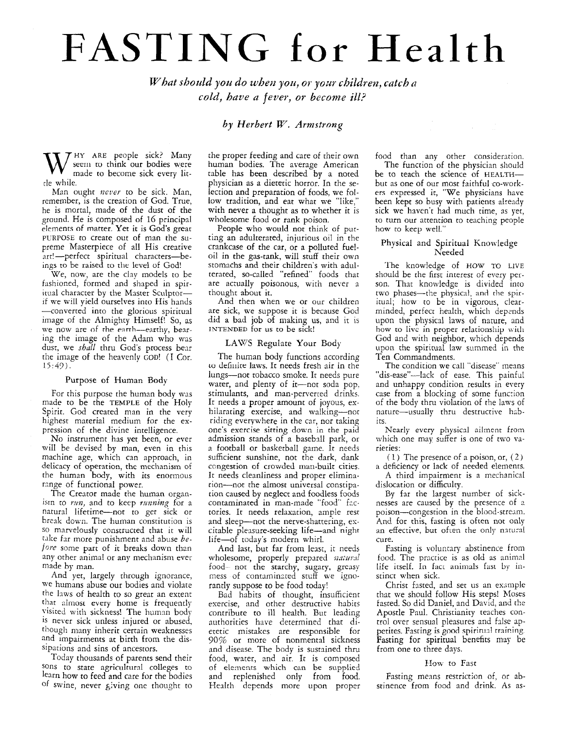# FASTING **for** Health

*What should you do when you, or your children, catch a cold, have n fever, or become ill?* 

# *by Herbert W, Armstrong*

HY **ARE** people sick? Many W seem to think our bodies were made to become sick every litrle while.

Man ought *never* to be sick. Man, remember, is the creation of God. True, he is mortal, made of the dust of the ground. He is composed of 16 principal elements of matter. Yet it is God's great PURPOSE to create out of man the supreme Masterpiece of all His creative art!-perfect spiritual characters-beings to be raised to the level of God!

We, now, are the clay models to be fashioned, formed and shaped in spir-<br>itual character by the Master Sculptorif we will yield ourselves into His hands -converted into the glorious spiritual image of the Almighty Himself! So, as we now are *of* the enrrh-earthy, hexing the image of the Adam who was dust, we *shall* thru God's process bear the image of the heavenly GOD! (I Cor. *15:47).* 

### Purpose of Human Body

For this purpose the human body was made to be the TEMPLE of the Holy Spirit. God created man in the very highest material medium for the expression of the divine intelligence.

No instrument has yet been, or ever will be devised by man, even in this machine age, which can approach, in delicacy of operation, thc mechanism of the human body, with its enormous range of functional power.

The Creator made the human organism to *rm,* and to keep *ruming* for a natural lifetime-not to get sick or break down. The human constitution is SO marvelously constructed that it will take far more punishment and abuse *before* some part of it breaks down than any other animal or any mechanism ever made by man.

And yet, largely through ignorance, we humans abuse our bodies and violate the laws of health to so great an extent that almost every home is frequently visited with sickness! The human body is never sick unless injured or abused, though many inherit certain weaknesses and impairments at birth from the dissipations and sins of ancestors.

Today thousands of parents send their sons to state agricultural colleges to learn how to feed and care for the bodies of swine, never giving one thought to

the proper feeding and care of their own human bodies. The average American table has been described by a noted physician as a dietetic horror. In the selection and preparation of foods, we follow tradition, and eat what we "like," with never **a** thought as to whether it is wholesome food or rank poison.

People who would not think of putting an adulterated, injurious oil in the crankcase of the car, or a polluted fueloil in the gas-tank, will stuff their own stomachs and their children's with adulterated, so-called "refined" foods that are accually poisonous, with never a thought about it.

And then when we or our children are sick, we suppose it is because God did a bad job of making us, and it is INTENDED for **11s** to be sick!

## LAW5 Regulate Your Body

The human body functions according to definite laws. It needs fresh air in the lungs-not tobacco smoke. It needs pure water, and plenty of it-not soda pop, stimulants, and man-penerred drinks. It needs **a** proper amount of joyous, exhilarating exercise, and walking-not riding everywhere in the car, nor taking one's exercise sitting down in the paid admission stands of **a** basebill park, or a football or basketball game. It needs sufficient sunshine, not the dark, dank ccngestion of crowded man-built cities. It needs cleanliness and proper eliminarion-not the almost universal constipation caused by neglect and foodless foods contaminated in man-made "food" factories. It needs relaxation, ample resc and sleep-not the nerve-shattering, excitable pleasure-seeking life-and night life-of today's modern whirl.

And last, but far from least, it needs wholesome, properly prepared *natura* food- not the starchy, sugary, greasy mess of contaminated stuff we ignorantly suppose to be food today!

Bad habits of thought, insufficient exercise, and other destructive habits contribute to ill healrh. But leading authorities have determined that dietetic mistakes are responsible for *90%* or more of nonrnental sickness and disease. The bcdy is sustained thru food, water, and air. It is composed of elements which can **be** supplied and replenished only from food. Health depends more upon proper food than any other consideration. The function of the physician should be to teach the science of HEALTHbut as one of our most faithful co-workers expressed it, "We physicians have been kept so busy with patients already sick we haven't had much time, as yet, to turn our attention to teaching people how to keep well."

# Physical and Spiritual Knowledge Needed

The knowledge of HOW TO LIVE should be the first interest of every person. That knowledge is divided into two phases-the physical, and the spiritual; how to be in vigorous, clearminded, perfect health, which depends upon the physical laws of nature, and how to live in proper relationship with God and with neighbor, which depends upon the spiritual law summed in the Ten Commandments.

The condition we call "disease" means "dis-ease"-lack of ease. This painful and unhappy condition results in every case from **a** blocking of some funcrion of the body thru violation of the laws of nature-usually thru destructive habits.

Nearly every physical ailment from which one may suffer is one of two varieties :

(1) The presence of a poison, or,  $(2)$ a deficiency or lack of needed elements.

**A** third impairment is a mechanical dislocation or difficulty.

By far the largest number of sicknesses are caused by the presence of a poison-congestion in the blood-stream. And for this, fasting is often not only an effective, but often the only natural cure.

Fasting is volunrary abstinence from food. The practice is as old as animal life itself. In fact animals fast by instinct when sick.

Christ fasted, and set us an eximple that we should follow His steps! Moses tasted. So did Daniel, and David, and the Apostle Paul. Christianity teaches control over sensual pleasures and false appetites. Fasting is good spiritual training. Fasting for spiritual benefits may be from one to three days.

# How to Fast

Fasting means restriction of, or abstinence from food and drink. **As** as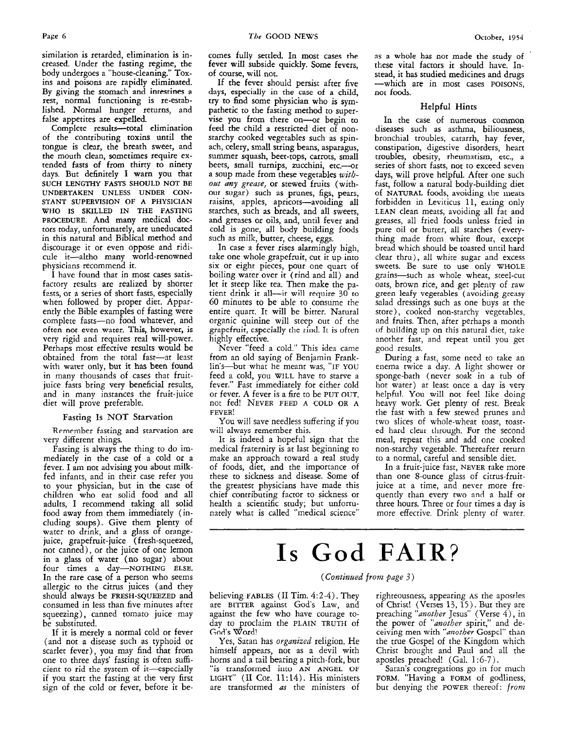similation is retarded, elimination is increased. Under the fasting regime, the body undergoes a "house-cleaning." Toxins and poisons are rapidly eliminated. By giving the stomach and intestines **a**  rest, normal functioning is re-established. Normal hunger returns, and false appetites are expelled.

Complete results-total elimination of the contributing toxins until the tongue is clear, the breath sweet, and the mouth clean, sometimes require extended fasts of from thirty to ninety days. But definitely I warn **you** that **SUCH LENGTHY FASTS SHOULD NOT BE UNDERTAKEN UNLESS UNDER CON-STANT SUPERVISION OF A PHYSICIAN WHO IS SKILLED** IN **THE FASTING PROCEDURE.** And many medical doctors today, unfortunately, are uneducated in this natural and Biblical method and discourage it or even oppose and ridicule it-altho many world-renowned physicians recommend it.

I have found that in mast cases satisfactory results are realized by shorter fasts, or a series of short fasts, especially when followed by proper diet. Apparently the Bible examples of fasting were complete fasts-no food whatever, and often not even water. This, however, **is**  very rigid and requires real will-power. Perhaps most effective results would be obtained from the total fast-at least with water only, but it has been found in many thousands of cases that fruitjuice fasts bring very beneficial results, and in many instances the fruit-juice diet will prove preferable.

# Fasting Is NOT Starvation

Remember fasting and starvation are very different things.

Fasting is always the thing to do immediately in the case of a cold or a fever. I am not advising you about milkfed infants, and in their case refer you to your physician, but in the case of children who eat solid food and all adults, I recommend taking all solid food away from them immediately (including soups). Give them plenty of water to drink, and **a** glass **of** orangejuice, grapefruit-juice ( fresh-squeezed, not canned), or the juice of one lemon in a glass of water **(no** sugar) about four times a day-NOTHING **ELSE.**  In the rare case of **a** person who seems allergic to the citrus juices (and they should always be **FRESH-SQUEEZED** and consumed in less than five minutes after squeezing), canned tomato juice may be substituted.

If it is merely a normal cold or fever (and not a disease such as typhoid or scarlet fever), you may find that from one to three days' fasting is often sufficient to rid the system of it-especially if you start the fasting at the very first sign of the cold or fever, before it becomes fully settled. In most cases **the**  fever will subside quickly. Some fevers, of course, will not.

If the fever should persist after five days, especially in the case of **a** child, try to find some physician who is sympathetic to the fasting method to supervise you from there on-or begin to feed the child a restricted diet of nonstarchy cooked vegetables such as spinach, celery, small string beans, asparagus, summer squash, beet-tops, carrots, small beets, small turnips, zucchini, etc.--- or a soup made from these vegetables *withoat any grease,* **or** stewed fruits (without sugar) such as prunes, figs, pears, raisins, apples, apricots-avoiding all starches, such as breads, and all sweets, and greases or oils, and, until fever and cold is gone, all body building foods **such** as milk, butter, cheese, eggs.

In case a fever rises alarmingly high, take one whole grapefruit, cut it up into six or eight pieces, pour one quart of boiling water over it (rind and all) and let it steep like tea. Then **make** the patient drink it all—it will require  $30$  to 60 minutes to be able to consume the entire quart. It will be bitter. Natural organic quinine will steep out of the grapefruit, cspccially the rind. It is often highly effective.

Never "feed a cold." This idea came from an old saying of Benjamin Franklin's-but what he meant was, **"IF YOU**  feed a cold, you **WILL** have to starve a fever." Fast immediately for either cold or fever. A fever is a fire to be **PUT** OUT, not fed! **NEVER** FEED **A COLD OR A FEVER!** 

You will save needless suffering if you **will** always remember this.

It is indeed a hopeful sign that the medical fraternity is at last beginning to make an approach toward a real study of foods, diet, and the importance of these to sickness and disease. Some of the greatest physicians have made this chief contributing factor to sickness or health a scientific study; but unfortunately what is called "medical science"

**as** a whole **has** not made the study of ' these vital factors it should have. Instead, it **has** studied medicines and drugs -which are in most cases **POISONS,**  not foods.

# Helpful Hints

In the case of numerous common diseases such as asthma, biliousness, bronchial troubles, catarrh, hay fever, constipation, digestive disorders, heart troubles, obesity, rheumatism, etc., a series of short fasts, not to exceed seven days, will prove helpful. After one such fast, follow a natural body-building diet of **NATURAL** foods, avoiding the meats forbidden in Leviticus **11,** eating only **LEAN** clean meats, avoiding all fat and greases, all fried foods unless fried in pure oil or butter, all starches (everything made from white flour, except bread which should be toasted until hard clear thru), all white sugar and excess sweets. Be sure to use only **WHOLE**  grains-such as whole wheat, steel-cut oats, brown rice, and get plenty of raw green leafy vegetables (avoiding greasy salad dressings such as one buys at the store), cooked non-starchy vegetables, and fruits. Then, after perhaps a month of building up on this natural diet, take another fast, and repeat until you get good results.

During a fast, some need to take an enema twice a day. A light shower or sponge-bath (never soak in a rub of hot water) at least once a day is very helpful. You will not feel like doing heavy work. Get plenty of rest. Break the fast with a few stewed prunes and two slices of whole-wheat toast, toasted hard clear through. For the second meal, repeat this and add one cooked non-starchy vegetable. Thereafter return to a normal, careful and sensible diet.

In a fruit-juice fast, **NEVER** take more than one 8-ounce glass of citrus-fruitjuice at a time, and never more frequently than every two and a half or three hours. Three or four times a day is more effective. Drink plenty of marer.

# **Is** God **FAIR?**

# *(Contiwed from @ge 3)*

believing **FABLES** (11 Tim. *4: 2-4).* They are BITTER against **Gods** Law, and against the few who have courage today to proclaim the **PLAIN TRUTH** of God's Word!

Yes, Satan has *organized* religion. He himself appears, not as a devil with horns and a tail bearing a pitch-fork, but "is transformed into **AN ANGEL OF LIGHT" (I1** Cor. **11: 14).** His ministers are transformed *as* the ministers of righteousness, appearing **AS** the apostles of Christ! (Verses  $13, 15$ ). But they are preaching *"another* Jesus" (Verse *4),* in the power of *"dnother* spirit," and deceiving men with "*another* Gospel" than the true Gospel of the Kingdom which Christ brought and Paul and all the apostles preached! (Gal. 1:6-7).

Satan's congregations go in for much FORM. "Having a FORM of godliness, but denying the **POWER** thereof: *from*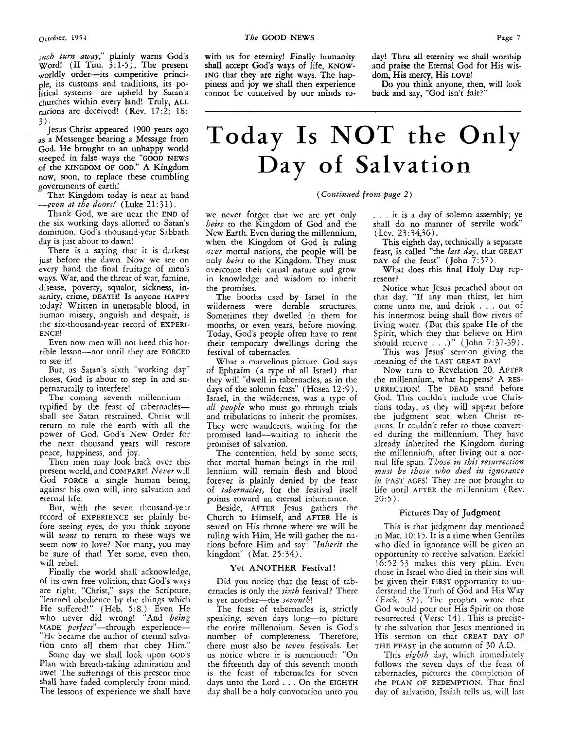such turn away," plainly warns God's Word! (I1 Tim. 3:l-5). The present worldly order-its competitive principle, its customs and traditions, its politlcal systems-~ **are** upheld by Satan's churches within every land! Truly, **ALL**  nations are deceived! (Rev. 17:2; 18:

*3).* Jesus Christ appeared **1900** years ago **as** a Messenger bearing a Message from God. He brought to an unhappy world steeped in false ways the "GOOD NEWS of the KINGDOM OF GOD." **A** Kingdom now, soon, to replace these crumbling governments of earth!

That Kingdom today is near at hand -even *at* the *doors!* (Luke 2 1 : **j** 1 ) .

Thank God, we are near the **END** of the six working days allotted to Satan's dominion. God's thousand-year Sabbath day is just about to dawn!

There is a saying that it is darkest just before the dawn. Now we see on every hand the final fruitage of men's ways. War, and the threat of war, famine. disease, poverty, squalor, sickness, insanity, crime, **DEATH! Is** anyone **HAPPY**  today? Written in unerasable blood, in human misery, anguish and despair, is the six-thousand-year record of **EXPEN-**ENCE!

Even now men will not heed this horrible lesson-not until they are FORCED to see it!

But, as Satan's sixth "working day" closes, God is about to step in and supernaturally to interfere!

The coming seventh millennium typified by the fenst of tabernaclesshall see Satan restrained. Christ will return to rule the earth with all the power of God. God's New Order for the next thousand years will restore peace, happiness, and joy.

Then men may look back over this present world, and COMPARE! Nerer will God FORCE a single human being, against his own will, into salvation and eternal life.

But, with the seven thousand-year record of EXPERIENCE set plainly before seeing eyes, do you think anyone will want to return to these ways we seem now to love? Not many, you may be sure of that! Yet some, even then, will rebel.

Finally the world shall acknowledge, of its own free volition, that God's ways are right. "Christ," says the Scripture, "learned obedience by the things which He suffered!" (Heb. *5:s.)* Even He who never did wrong! "And being MADE perfect"-through experience-"He became the author of eternal salvation unto all them that obey Him.'

Some day we shall look upon GOD'S Plan with breath-taking admiration and awe! The sufferings of this present time shall have faded completely from mind. The lessons of experience we shall have

with us for eternity! Finally humanity **shall** accept **God's** ways of life, KNOW-ING that they are right ways. The happines and joy **we** shall then experience **cannot** be conceived **by** our iiiinds **to-** day! Thru **all** eternity we shall worship and praise the Eternal God for His wisdom, **His mercy,** His LOVE!

Do you think anyone, then, will look back and say, "God isn't fair?"

# Today **Is** NOT **the** Only **Day of Salvation**

*(Corztiiiued* **from** *puge 2)* 

we never forget that we are yet only *heirs* to the Kingdom of God and the New Earth. Even during the millennium, when the Kingdom of God is ruling over mortal nations, the people will be only *heirs* to the Kingdom. They must overcome their carnal nature and grow in knowledge and wisdom to inherit the promises.

The booths used by Israel in che wilderness were durable structures. Sometimes they dwelled in them for months, or even years, before moving. Today, God's people often have to rent their temporary dwellings during the festival of tabernacles.

Whar a msrvcllnus picture. God says of Ephraim (a type of all Israel) that they will "dwell in tabernacles, as in the days of the solemn feast" (Hosea 12:9). Israel, in the wilderness, **was a** type of *nll people* who must go through trials and tribulations to inherit the promises. They were wanderers, waiting for the promised land-waiting to inherit the promises of salvation.

The contention, held by some sects, that mortal human beings in the millennium will remain flesh and blood forever is plainly denied by the feast of tabernacles, for the festival itself points toward an eternal inheritance.

Beside, AFTER Jesus gathers the Church to Himself, and AFTER He is seated on His throne where we will be ruling with Him, He will gather the nations before Him and say: "Inherit the kingdom" (Mat. 25 : *34).* 

# Yet ANOTHER Festival!

Did you notice that the feast of tabernacles is only the sixth festival? There is yet another-the seventh!

The feast of tabernacles is, strictly speaking, seven days long-to picture the entire millennium. Seven is God's number of completeness. Therefore, there must also be seven festivals. Let us notice where it is mentioned: "On the fifteenth day of this seventh month is the feast of tabernacles for seven days unto the Lord . . . On the EIGHTH day shall be a holy convocation unto you

. . . it is **a** day of solemn assembly, ye shall do no manner of servile work" (Lev. *23:34,36).* 

This eighth day, technically **a** separate feast, is called "the *last day*, that GREAT DAY of the feast" (John 7:37).

What does this final Holy Day represent?

Notice what Jesus preached about on that day. "If any man thirst, let him come unto me, and drink . . . out of his innermosc being shall flow rivers of living water. (But this spake He of the Spirit, which they that believe on Him should receive . . .) " (John 7: *37-39).* 

This was Jesus' sermon giving the meaning of the LAST GREAT DAY!

Now turn to Revelation 20. AFTER the millennium, what happens? A RES-URRECTION! The DEAD stand before God. This couldn't include true Christians today, **as** they will appear before the judgment seat when Christ returns. It couldn't refer to those converted during the millennium. They have already inherited the Kingdom during the millennium, after living out a normal life span. Those in this resurrection must be those who died in ignorance in PAST AGES! They are not brought to life until AFTER the millennium (Rev. *20:5).* 

# Pictures Day of Judgment

This is that judgment day mentioned in Mat. 10: 15. It is a time when Gentiles who died in ignorance will be given an opportunity to receive salvation. Ezekiel 16:52-53 makes this very plain. Even those in Israel who died in their sins will be given their FIRST opportunity to understand the Truth of God and His Way (Ezek. 37). The prophet wrote that God would pour out His Spirit on those resurrected (Verse 14). This is precisely the salvation that Jesus mentioned in His sermon on that GREAT **DAY** OF THE FEAST in the autumn of 30 A.D.

This eighth day, which immediately follows the seven days of the feast of tabernacles, pictures the completion of the PLAN OF REDEMPTION. That find day of salvation, Isaiah tells us, will last